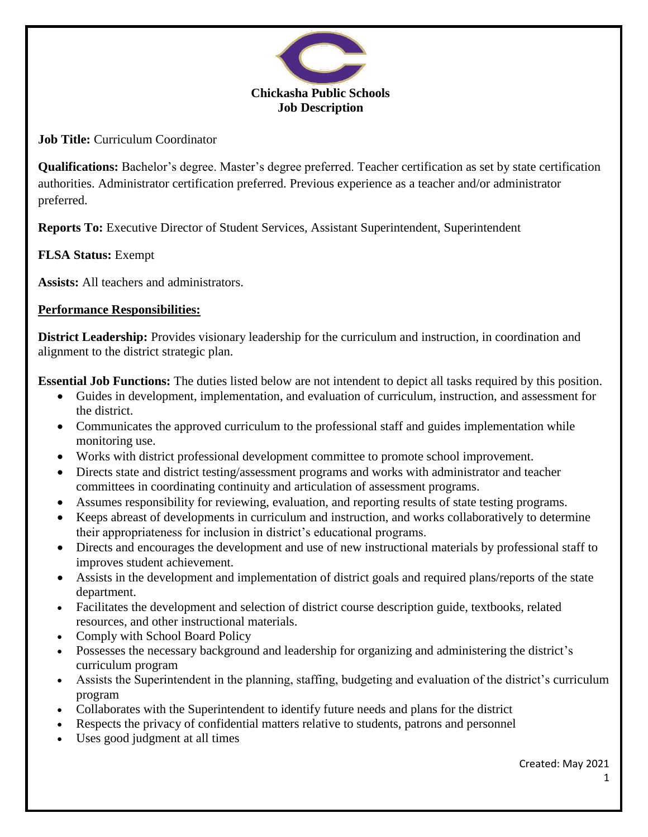

**Job Title:** Curriculum Coordinator

**Qualifications:** Bachelor's degree. Master's degree preferred. Teacher certification as set by state certification authorities. Administrator certification preferred. Previous experience as a teacher and/or administrator preferred.

**Reports To:** Executive Director of Student Services, Assistant Superintendent, Superintendent

# **FLSA Status:** Exempt

**Assists:** All teachers and administrators.

## **Performance Responsibilities:**

**District Leadership:** Provides visionary leadership for the curriculum and instruction, in coordination and alignment to the district strategic plan.

**Essential Job Functions:** The duties listed below are not intendent to depict all tasks required by this position.

- Guides in development, implementation, and evaluation of curriculum, instruction, and assessment for the district.
- Communicates the approved curriculum to the professional staff and guides implementation while monitoring use.
- Works with district professional development committee to promote school improvement.
- Directs state and district testing/assessment programs and works with administrator and teacher committees in coordinating continuity and articulation of assessment programs.
- Assumes responsibility for reviewing, evaluation, and reporting results of state testing programs.
- Keeps abreast of developments in curriculum and instruction, and works collaboratively to determine their appropriateness for inclusion in district's educational programs.
- Directs and encourages the development and use of new instructional materials by professional staff to improves student achievement.
- Assists in the development and implementation of district goals and required plans/reports of the state department.
- Facilitates the development and selection of district course description guide, textbooks, related resources, and other instructional materials.
- Comply with School Board Policy
- Possesses the necessary background and leadership for organizing and administering the district's curriculum program
- Assists the Superintendent in the planning, staffing, budgeting and evaluation of the district's curriculum program
- Collaborates with the Superintendent to identify future needs and plans for the district
- Respects the privacy of confidential matters relative to students, patrons and personnel
- Uses good judgment at all times

Created: May 2021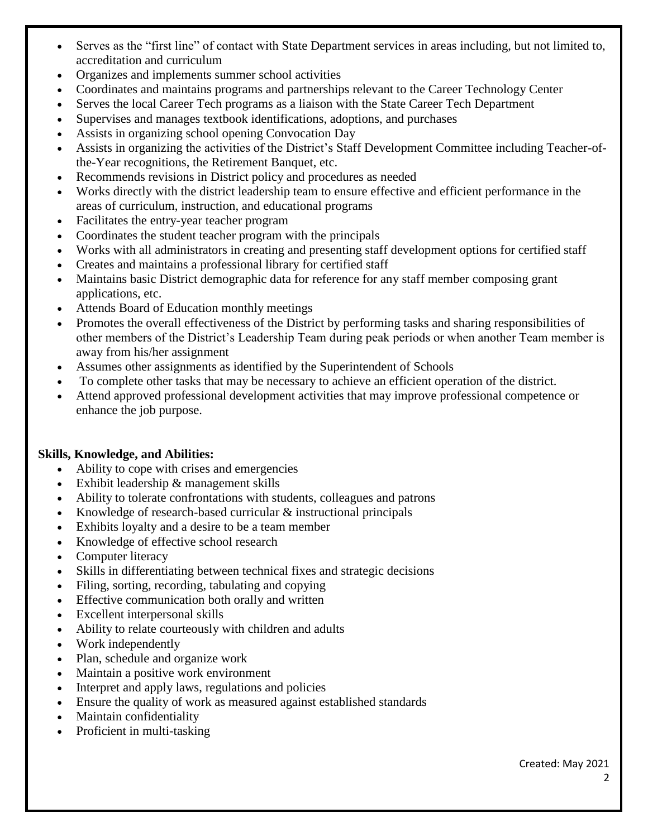- Serves as the "first line" of contact with State Department services in areas including, but not limited to, accreditation and curriculum
- Organizes and implements summer school activities
- Coordinates and maintains programs and partnerships relevant to the Career Technology Center
- Serves the local Career Tech programs as a liaison with the State Career Tech Department
- Supervises and manages textbook identifications, adoptions, and purchases
- Assists in organizing school opening Convocation Day
- Assists in organizing the activities of the District's Staff Development Committee including Teacher-ofthe-Year recognitions, the Retirement Banquet, etc.
- Recommends revisions in District policy and procedures as needed
- Works directly with the district leadership team to ensure effective and efficient performance in the areas of curriculum, instruction, and educational programs
- Facilitates the entry-year teacher program
- Coordinates the student teacher program with the principals
- Works with all administrators in creating and presenting staff development options for certified staff
- Creates and maintains a professional library for certified staff
- Maintains basic District demographic data for reference for any staff member composing grant applications, etc.
- Attends Board of Education monthly meetings
- Promotes the overall effectiveness of the District by performing tasks and sharing responsibilities of other members of the District's Leadership Team during peak periods or when another Team member is away from his/her assignment
- Assumes other assignments as identified by the Superintendent of Schools
- To complete other tasks that may be necessary to achieve an efficient operation of the district.
- Attend approved professional development activities that may improve professional competence or enhance the job purpose.

### **Skills, Knowledge, and Abilities:**

- Ability to cope with crises and emergencies
- Exhibit leadership & management skills
- Ability to tolerate confrontations with students, colleagues and patrons
- Knowledge of research-based curricular & instructional principals
- Exhibits loyalty and a desire to be a team member
- Knowledge of effective school research
- Computer literacy
- Skills in differentiating between technical fixes and strategic decisions
- Filing, sorting, recording, tabulating and copying
- Effective communication both orally and written
- Excellent interpersonal skills
- Ability to relate courteously with children and adults
- Work independently
- Plan, schedule and organize work
- Maintain a positive work environment
- Interpret and apply laws, regulations and policies
- Ensure the quality of work as measured against established standards
- Maintain confidentiality
- Proficient in multi-tasking